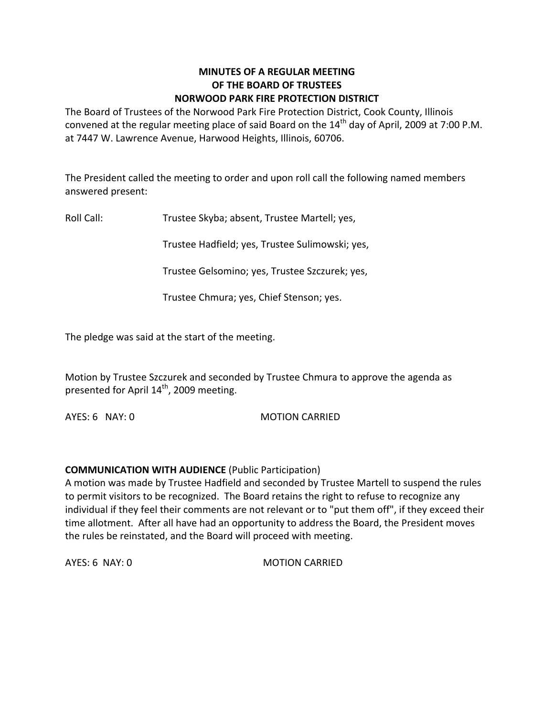## **MINUTES OF A REGULAR MEETING OF THE BOARD OF TRUSTEES NORWOOD PARK FIRE PROTECTION DISTRICT**

The Board of Trustees of the Norwood Park Fire Protection District, Cook County, Illinois convened at the regular meeting place of said Board on the  $14<sup>th</sup>$  day of April, 2009 at 7:00 P.M. at 7447 W. Lawrence Avenue, Harwood Heights, Illinois, 60706.

The President called the meeting to order and upon roll call the following named members answered present:

Roll Call: Trustee Skyba; absent, Trustee Martell; yes,

Trustee Hadfield; yes, Trustee Sulimowski; yes,

Trustee Gelsomino; yes, Trustee Szczurek; yes,

Trustee Chmura; yes, Chief Stenson; yes.

The pledge was said at the start of the meeting.

Motion by Trustee Szczurek and seconded by Trustee Chmura to approve the agenda as presented for April 14<sup>th</sup>, 2009 meeting.

AYES: 6 NAY: 0 MOTION CARRIED

#### **COMMUNICATION WITH AUDIENCE** (Public Participation)

A motion was made by Trustee Hadfield and seconded by Trustee Martell to suspend the rules to permit visitors to be recognized. The Board retains the right to refuse to recognize any individual if they feel their comments are not relevant or to "put them off", if they exceed their time allotment. After all have had an opportunity to address the Board, the President moves the rules be reinstated, and the Board will proceed with meeting.

AYES: 6 NAY: 0 MOTION CARRIED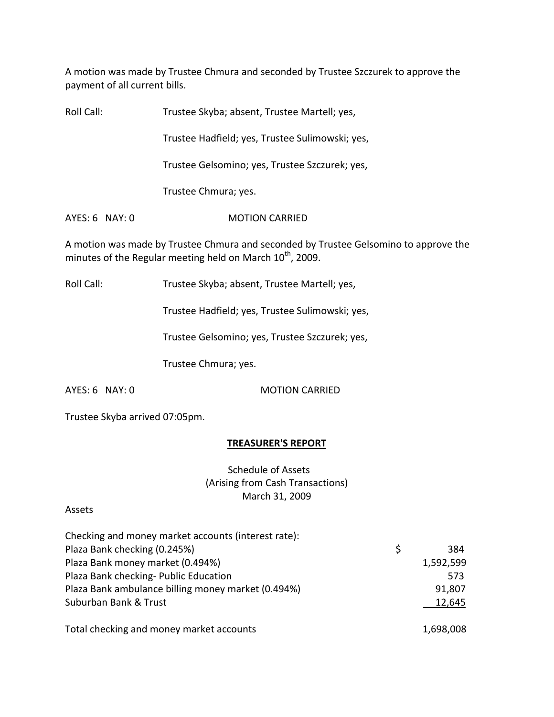A motion was made by Trustee Chmura and seconded by Trustee Szczurek to approve the payment of all current bills.

Roll Call: Trustee Skyba; absent, Trustee Martell; yes,

Trustee Hadfield; yes, Trustee Sulimowski; yes,

Trustee Gelsomino; yes, Trustee Szczurek; yes,

Trustee Chmura; yes.

AYES: 6 NAY: 0 **MOTION CARRIED** 

A motion was made by Trustee Chmura and seconded by Trustee Gelsomino to approve the minutes of the Regular meeting held on March  $10^{\text{th}}$ , 2009.

Roll Call: Trustee Skyba; absent, Trustee Martell; yes,

Trustee Hadfield; yes, Trustee Sulimowski; yes,

Trustee Gelsomino; yes, Trustee Szczurek; yes,

Trustee Chmura; yes.

AYES: 6 NAY: 0 MOTION CARRIED

Trustee Skyba arrived 07:05pm.

# **TREASURER'S REPORT**

Schedule of Assets (Arising from Cash Transactions) March 31, 2009

#### Assets

| Checking and money market accounts (interest rate): |           |
|-----------------------------------------------------|-----------|
| Plaza Bank checking (0.245%)                        | 384       |
| Plaza Bank money market (0.494%)                    | 1,592,599 |
| Plaza Bank checking- Public Education               | 573       |
| Plaza Bank ambulance billing money market (0.494%)  | 91,807    |
| Suburban Bank & Trust                               | 12,645    |
| Total checking and money market accounts            | 1,698,008 |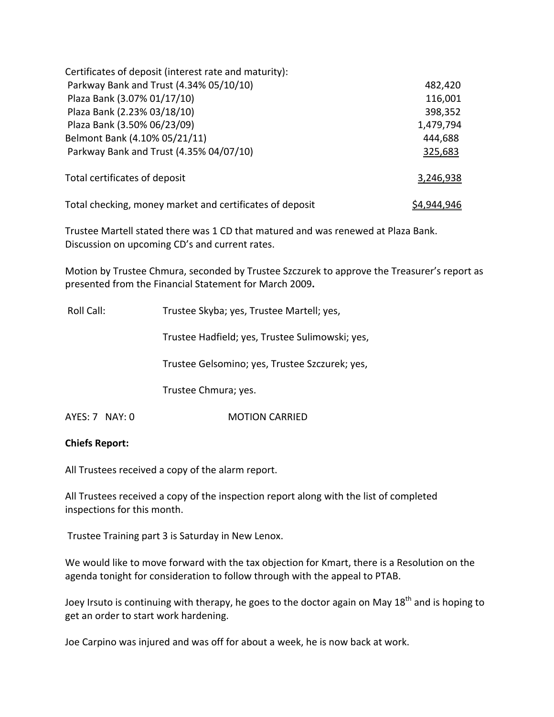| Certificates of deposit (interest rate and maturity):    |                    |
|----------------------------------------------------------|--------------------|
| Parkway Bank and Trust (4.34% 05/10/10)                  | 482,420            |
| Plaza Bank (3.07% 01/17/10)                              | 116,001            |
| Plaza Bank (2.23% 03/18/10)                              | 398,352            |
| Plaza Bank (3.50% 06/23/09)                              | 1,479,794          |
| Belmont Bank (4.10% 05/21/11)                            | 444,688            |
| Parkway Bank and Trust (4.35% 04/07/10)                  | 325,683            |
| Total certificates of deposit                            | 3,246,938          |
| Total checking, money market and certificates of deposit | <u>\$4,944,946</u> |

Trustee Martell stated there was 1 CD that matured and was renewed at Plaza Bank. Discussion on upcoming CD's and current rates.

Motion by Trustee Chmura, seconded by Trustee Szczurek to approve the Treasurer's report as presented from the Financial Statement for March 2009**.**

Roll Call: Trustee Skyba; yes, Trustee Martell; yes,

Trustee Hadfield; yes, Trustee Sulimowski; yes,

Trustee Gelsomino; yes, Trustee Szczurek; yes,

Trustee Chmura; yes.

AYES: 7 NAY: 0 **MOTION CARRIED** 

#### **Chiefs Report:**

All Trustees received a copy of the alarm report.

All Trustees received a copy of the inspection report along with the list of completed inspections for this month.

Trustee Training part 3 is Saturday in New Lenox.

We would like to move forward with the tax objection for Kmart, there is a Resolution on the agenda tonight for consideration to follow through with the appeal to PTAB.

Joey Irsuto is continuing with therapy, he goes to the doctor again on May 18<sup>th</sup> and is hoping to get an order to start work hardening.

Joe Carpino was injured and was off for about a week, he is now back at work.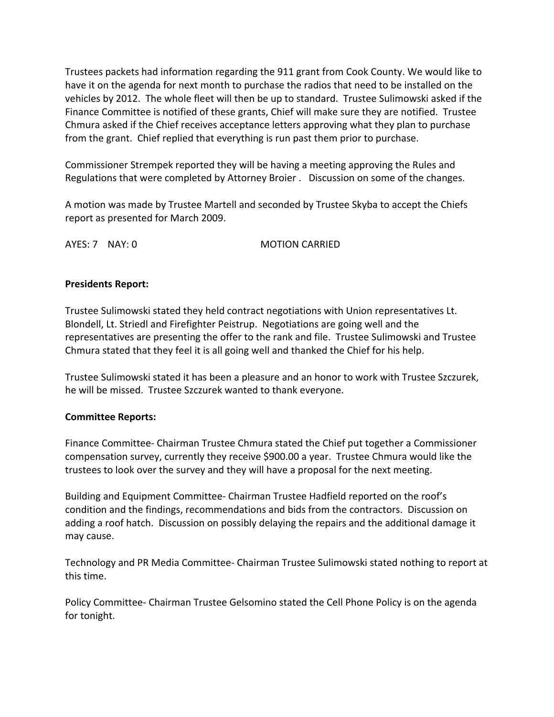Trustees packets had information regarding the 911 grant from Cook County. We would like to have it on the agenda for next month to purchase the radios that need to be installed on the vehicles by 2012. The whole fleet will then be up to standard. Trustee Sulimowski asked if the Finance Committee is notified of these grants, Chief will make sure they are notified. Trustee Chmura asked if the Chief receives acceptance letters approving what they plan to purchase from the grant. Chief replied that everything is run past them prior to purchase.

Commissioner Strempek reported they will be having a meeting approving the Rules and Regulations that were completed by Attorney Broier . Discussion on some of the changes.

A motion was made by Trustee Martell and seconded by Trustee Skyba to accept the Chiefs report as presented for March 2009.

AYES: 7 NAY: 0 MOTION CARRIED

# **Presidents Report:**

Trustee Sulimowski stated they held contract negotiations with Union representatives Lt. Blondell, Lt. Striedl and Firefighter Peistrup. Negotiations are going well and the representatives are presenting the offer to the rank and file. Trustee Sulimowski and Trustee Chmura stated that they feel it is all going well and thanked the Chief for his help.

Trustee Sulimowski stated it has been a pleasure and an honor to work with Trustee Szczurek, he will be missed. Trustee Szczurek wanted to thank everyone.

# **Committee Reports:**

Finance Committee‐ Chairman Trustee Chmura stated the Chief put together a Commissioner compensation survey, currently they receive \$900.00 a year. Trustee Chmura would like the trustees to look over the survey and they will have a proposal for the next meeting.

Building and Equipment Committee‐ Chairman Trustee Hadfield reported on the roof's condition and the findings, recommendations and bids from the contractors. Discussion on adding a roof hatch. Discussion on possibly delaying the repairs and the additional damage it may cause.

Technology and PR Media Committee‐ Chairman Trustee Sulimowski stated nothing to report at this time.

Policy Committee‐ Chairman Trustee Gelsomino stated the Cell Phone Policy is on the agenda for tonight.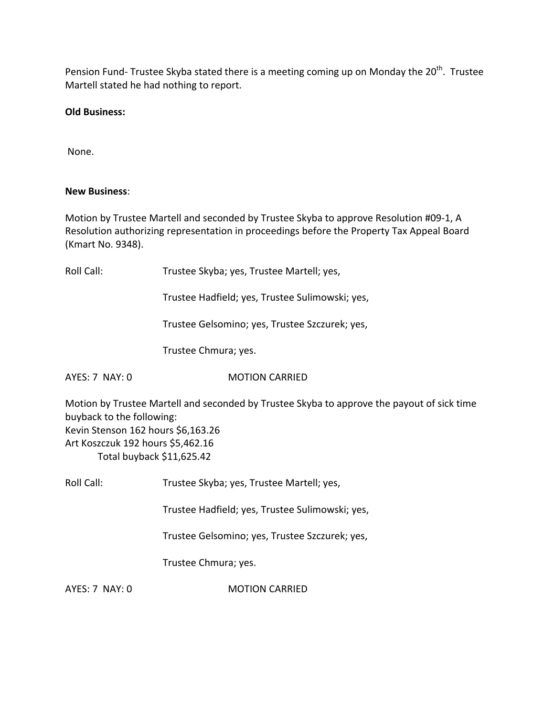Pension Fund- Trustee Skyba stated there is a meeting coming up on Monday the 20<sup>th</sup>. Trustee Martell stated he had nothing to report.

### **Old Business:**

None.

#### **New Business**:

Motion by Trustee Martell and seconded by Trustee Skyba to approve Resolution #09‐1, A Resolution authorizing representation in proceedings before the Property Tax Appeal Board (Kmart No. 9348).

Roll Call: Trustee Skyba; yes, Trustee Martell; yes,

Trustee Hadfield; yes, Trustee Sulimowski; yes,

Trustee Gelsomino; yes, Trustee Szczurek; yes,

Trustee Chmura; yes.

AYES: 7 NAY: 0 **MOTION CARRIED** 

Motion by Trustee Martell and seconded by Trustee Skyba to approve the payout of sick time buyback to the following: Kevin Stenson 162 hours \$6,163.26 Art Koszczuk 192 hours \$5,462.16 Total buyback \$11,625.42

Roll Call: Trustee Skyba; yes, Trustee Martell; yes,

Trustee Hadfield; yes, Trustee Sulimowski; yes,

Trustee Gelsomino; yes, Trustee Szczurek; yes,

Trustee Chmura; yes.

AYES: 7 NAY: 0 **MOTION CARRIED**